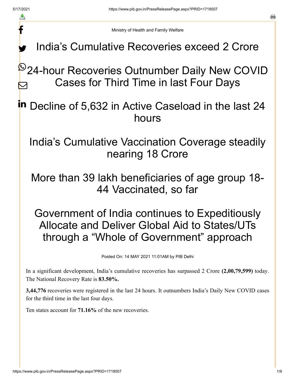f

a

Ministry of Health and Family Welfare

India's Cumulative Recoveries exceed 2 Crore y.

<sup>©</sup>24-hour Recoveries Outnumber Daily New COVID Cases for Third Time in last Four Days  $\bm{\nabla}$ 

in Decline of 5,632 in Active Caseload in the last 24 hours

India's Cumulative Vaccination Coverage steadily nearing 18 Crore

More than 39 lakh beneficiaries of age group 18- 44 Vaccinated, so far

Government of India continues to Expeditiously Allocate and Deliver Global Aid to States/UTs through a "Whole of Government" approach

Posted On: 14 MAY 2021 11:01AM by PIB Delhi

In a significant development, India's cumulative recoveries has surpassed 2 Crore **(2,00,79,599)** today. The National Recovery Rate is **83.50%.**

**3,44,776** recoveries were registered in the last 24 hours. It outnumbers India's Daily New COVID cases for the third time in the last four days.

Ten states account for **71.16%** of the new recoveries.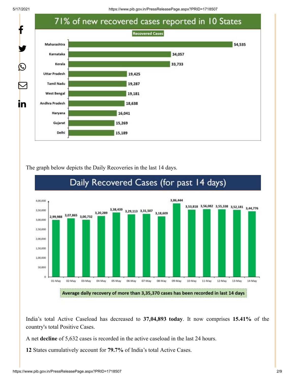5/17/2021 https://www.pib.gov.in/PressReleasePage.aspx?PRID=1718507



The graph below depicts the Daily Recoveries in the last 14 days.



### India's total Active Caseload has decreased to **37,04,893 today**. It now comprises **15.41%** of the country's total Positive Cases.

A net **decline** of 5,632 cases is recorded in the active caseload in the last 24 hours.

**12** States cumulatively account for **79.7%** of India's total Active Cases.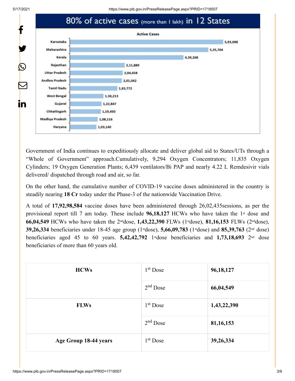

Government of India continues to expeditiously allocate and deliver global aid to States/UTs through a "Whole of Government" approach.Cumulatively, 9,294 Oxygen Concentrators; 11,835 Oxygen Cylinders; 19 Oxygen Generation Plants; 6,439 ventilators/Bi PAP and nearly 4.22 L Remdesivir vials delivered/ dispatched through road and air, so far.

On the other hand, the cumulative number of COVID-19 vaccine doses administered in the country is steadily nearing **18 Cr** today under the Phase-3 of the nationwide Vaccination Drive.

A total of **17,92,98,584** vaccine doses have been administered through 26,02,435sessions, as per the provisional report till 7 am today. These include 96,18,127 HCWs who have taken the 1<sup>st</sup> dose and **66,04,549** HCWs who have taken the 2<sup>nd</sup>dose, 1,43,22,390 FLWs (1<sup>st</sup>dose), 81,16,153 FLWs (2<sup>nd</sup>dose), **39,26,334** beneficiaries under 18-45 age group (1<sup>st</sup>dose), **5,66,09,783** (1<sup>st</sup>dose) and **85,39,763** (2<sup>nd</sup> dose) beneficiaries aged 45 to 60 years. **5,42,42,792** 1<sup>st</sup> dose beneficiaries and 1,73,18,693 2<sup>nd</sup> dose beneficiaries of more than 60 years old.

| <b>HCWs</b>           | $1st$ Dose | 96,18,127   |
|-----------------------|------------|-------------|
|                       | $2nd$ Dose | 66,04,549   |
| <b>FLWs</b>           | $1st$ Dose | 1,43,22,390 |
|                       | $2nd$ Dose | 81, 16, 153 |
| Age Group 18-44 years | $1st$ Dose | 39,26,334   |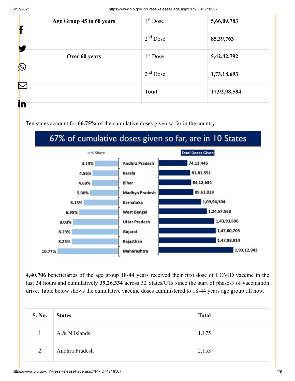| Age Group 45 to 60 years<br>f | $1st$ Dose    | 5,66,09,783  |                |
|-------------------------------|---------------|--------------|----------------|
|                               |               | $2nd$ Dose   | 85, 39, 763    |
|                               | Over 60 years | $1st$ Dose   | 5, 42, 42, 792 |
| $\mathbf C$                   |               | $2nd$ Dose   | 1,73,18,693    |
| $\sum$                        |               | <b>Total</b> | 17,92,98,584   |
| in                            |               |              |                |

Ten states account for **66.75%** of the cumulative doses given so far in the country.

# 67% of cumulative doses given so far, are in 10 States



**4,40,706** beneficiaries of the age group 18-44 years received their first dose of COVID vaccine in the last 24 hours and cumulatively **39,26,334** across 32 States/UTs since the start of phase-3 of vaccination drive. Table below shows the cumulative vaccine doses administered to 18-44 years age group till now.

| <b>S. No.</b> | <b>States</b>   | <b>Total</b> |
|---------------|-----------------|--------------|
| $\mathbf{1}$  | $A & N$ Islands | 1,175        |
| 2             | Andhra Pradesh  | 2,153        |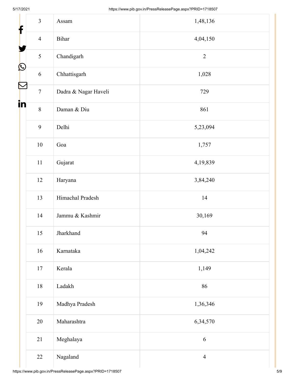| $\overline{3}$                  | Assam                | 1,48,136       |
|---------------------------------|----------------------|----------------|
| f<br>$\overline{4}$             | Bihar                | 4,04,150       |
| 5                               | Chandigarh           | $\overline{2}$ |
| $\bigcirc$<br>$\sqrt{6}$        | Chhattisgarh         | 1,028          |
| $\blacktriangleright$<br>$\tau$ | Dadra & Nagar Haveli | 729            |
| in<br>$\,8\,$                   | Daman & Diu          | 861            |
| 9                               | Delhi                | 5,23,094       |
| $10\,$                          | Goa                  | 1,757          |
| $11\,$                          | Gujarat              | 4,19,839       |
| $12\,$                          | Haryana              | 3,84,240       |
| 13                              | Himachal Pradesh     | 14             |
| 14                              | Jammu & Kashmir      | 30,169         |
| 15                              | Jharkhand            | 94             |
| 16                              | Karnataka            | 1,04,242       |
| $17\,$                          | Kerala               | 1,149          |
| $18\,$                          | Ladakh               | 86             |
| 19                              | Madhya Pradesh       | 1,36,346       |
| 20                              | Maharashtra          | 6,34,570       |
| 21                              | Meghalaya            | $\sqrt{6}$     |
| 22                              | Nagaland             | $\overline{4}$ |

Ш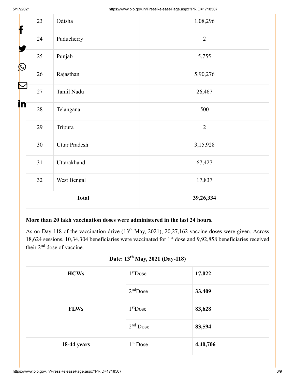| f                  | 23 | Odisha               | 1,08,296       |
|--------------------|----|----------------------|----------------|
|                    | 24 | Puducherry           | $\overline{2}$ |
| $\bigcirc$         | 25 | Punjab               | 5,755          |
|                    | 26 | Rajasthan            | 5,90,276       |
| $\mathbb{E}% _{t}$ | 27 | Tamil Nadu           | 26,467         |
| i <mark>n</mark>   | 28 | Telangana            | 500            |
|                    | 29 | Tripura              | $\overline{2}$ |
|                    | 30 | <b>Uttar Pradesh</b> | 3,15,928       |
|                    | 31 | Uttarakhand          | 67,427         |
|                    | 32 | West Bengal          | 17,837         |
|                    |    | <b>Total</b>         | 39,26,334      |

#### **More than 20 lakh vaccination doses were administered in the last 24 hours.**

As on Day-118 of the vaccination drive  $(13<sup>th</sup>$  May, 2021), 20,27,162 vaccine doses were given. Across 18,624 sessions, 10,34,304 beneficiaries were vaccinated for  $1<sup>st</sup>$  dose and 9,92,858 beneficiaries received their  $2<sup>nd</sup>$  dose of vaccine.

## Date: 13<sup>th</sup> May, 2021 (Day-118)

| <b>HCWs</b>        | $1st$ Dose | 17,022   |
|--------------------|------------|----------|
|                    | $2nd$ Dose | 33,409   |
| <b>FLWs</b>        | $1st$ Dose | 83,628   |
|                    | $2nd$ Dose | 83,594   |
| <b>18-44 years</b> | $1st$ Dose | 4,40,706 |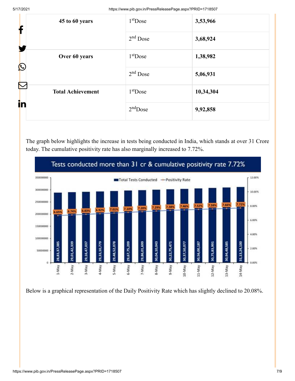| f                         | 45 to 60 years           | $1st$ Dose | 3,53,966  |
|---------------------------|--------------------------|------------|-----------|
| Y                         |                          | $2nd$ Dose | 3,68,924  |
| $\bigcirc$                | Over 60 years            | $1st$ Dose | 1,38,982  |
|                           |                          | $2nd$ Dose | 5,06,931  |
| $\color{red}\nabla$<br>in | <b>Total Achievement</b> | $1st$ Dose | 10,34,304 |
|                           |                          | $2nd$ Dose | 9,92,858  |

The graph below highlights the increase in tests being conducted in India, which stands at over 31 Crore today. The cumulative positivity rate has also marginally increased to 7.72%.



Below is a graphical representation of the Daily Positivity Rate which has slightly declined to 20.08%.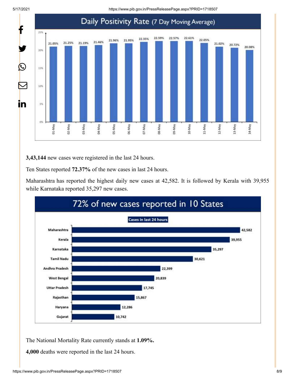5/17/2021 https://www.pib.gov.in/PressReleasePage.aspx?PRID=1718507



**3,43,144** new cases were registered in the last 24 hours.

Ten States reported **72.37%** of the new cases in last 24 hours.

Maharashtra has reported the highest daily new cases at 42,582. It is followed by Kerala with 39,955 while Karnataka reported 35,297 new cases.



The National Mortality Rate currently stands at **1.09%.**

**4,000** deaths were reported in the last 24 hours.